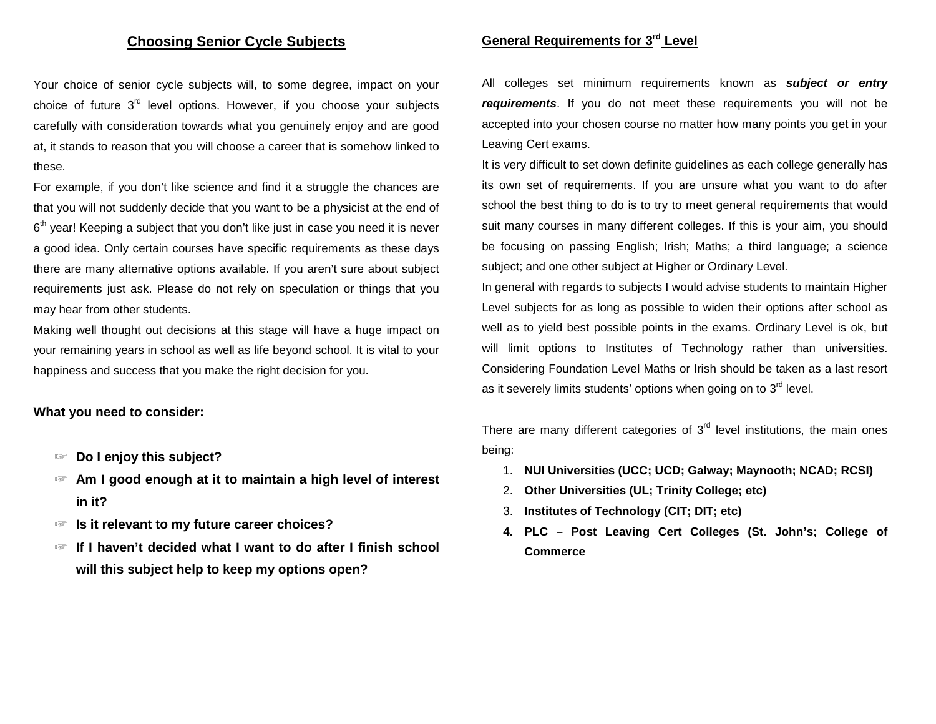## **Choosing Senior Cycle Subjects**

Your choice of senior cycle subjects will, to some degree, impact on your choice of future 3<sup>rd</sup> level options. However, if you choose your subjects carefully with consideration towards what you genuinely enjoy and are good at, it stands to reason that you will choose a career that is somehow linked to these.

For example, if you don't like science and find it a struggle the chances are that you will not suddenly decide that you want to be a physicist at the end of  $6<sup>th</sup>$  year! Keeping a subject that you don't like just in case you need it is never a good idea. Only certain courses have specific requirements as these days there are many alternative options available. If you aren't sure about subject requirements just ask. Please do not rely on speculation or things that you may hear from other students.

Making well thought out decisions at this stage will have a huge impact on your remaining years in school as well as life beyond school. It is vital to your happiness and success that you make the right decision for you.

### **What you need to consider:**

- ☞ **Do I enjoy this subject?**
- ☞ **Am I good enough at it to maintain a high level of interest in it?**
- ☞ **Is it relevant to my future career choices?**
- ☞ **If I haven't decided what I want to do after I finish school will this subject help to keep my options open?**

# **General Requirements for 3rd Level**

All colleges set minimum requirements known as *subject or entry requirements*. If you do not meet these requirements you will not be accepted into your chosen course no matter how many points you get in your Leaving Cert exams.

It is very difficult to set down definite guidelines as each college generally has its own set of requirements. If you are unsure what you want to do after school the best thing to do is to try to meet general requirements that would suit many courses in many different colleges. If this is your aim, you should be focusing on passing English; Irish; Maths; a third language; a science subject; and one other subject at Higher or Ordinary Level.

In general with regards to subjects I would advise students to maintain Higher Level subjects for as long as possible to widen their options after school as well as to yield best possible points in the exams. Ordinary Level is ok, but will limit options to Institutes of Technology rather than universities. Considering Foundation Level Maths or Irish should be taken as a last resort as it severely limits students' options when going on to  $3<sup>rd</sup>$  level.

There are many different categories of  $3<sup>rd</sup>$  level institutions, the main ones being:

- 1. **NUI Universities (UCC; UCD; Galway; Maynooth; NCAD; RCSI)**
- 2. **Other Universities (UL; Trinity College; etc)**
- 3. **Institutes of Technology (CIT; DIT; etc)**
- **4. PLC – Post Leaving Cert Colleges (St. John's; College of Commerce**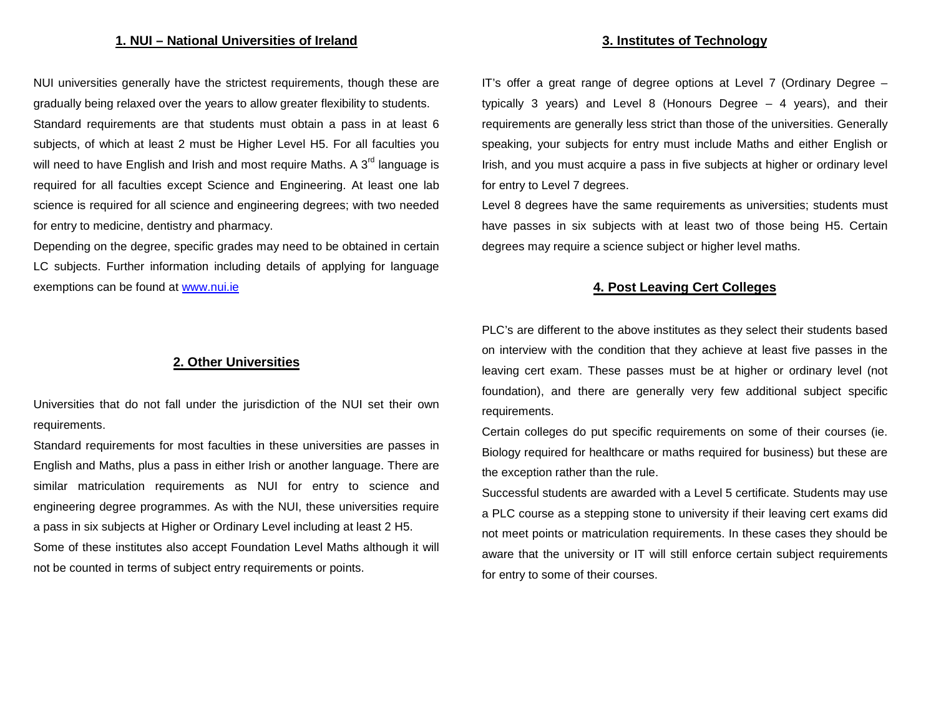NUI universities generally have the strictest requirements, though these are gradually being relaxed over the years to allow greater flexibility to students. Standard requirements are that students must obtain a pass in at least 6 subjects, of which at least 2 must be Higher Level H5. For all faculties you will need to have English and Irish and most require Maths. A  $3<sup>rd</sup>$  language is required for all faculties except Science and Engineering. At least one lab science is required for all science and engineering degrees; with two needed for entry to medicine, dentistry and pharmacy.

Depending on the degree, specific grades may need to be obtained in certain LC subjects. Further information including details of applying for language exemptions can be found at [www.nui.ie](http://www.nui.ie/)

### **2. Other Universities**

Universities that do not fall under the jurisdiction of the NUI set their own requirements.

Standard requirements for most faculties in these universities are passes in English and Maths, plus a pass in either Irish or another language. There are similar matriculation requirements as NUI for entry to science and engineering degree programmes. As with the NUI, these universities require a pass in six subjects at Higher or Ordinary Level including at least 2 H5.

Some of these institutes also accept Foundation Level Maths although it will not be counted in terms of subject entry requirements or points.

# **3. Institutes of Technology**

IT's offer a great range of degree options at Level 7 (Ordinary Degree – typically 3 years) and Level 8 (Honours Degree – 4 years), and their requirements are generally less strict than those of the universities. Generally speaking, your subjects for entry must include Maths and either English or Irish, and you must acquire a pass in five subjects at higher or ordinary level for entry to Level 7 degrees.

Level 8 degrees have the same requirements as universities; students must have passes in six subjects with at least two of those being H5. Certain degrees may require a science subject or higher level maths.

## **4. Post Leaving Cert Colleges**

PLC's are different to the above institutes as they select their students based on interview with the condition that they achieve at least five passes in the leaving cert exam. These passes must be at higher or ordinary level (not foundation), and there are generally very few additional subject specific requirements.

Certain colleges do put specific requirements on some of their courses (ie. Biology required for healthcare or maths required for business) but these are the exception rather than the rule.

Successful students are awarded with a Level 5 certificate. Students may use a PLC course as a stepping stone to university if their leaving cert exams did not meet points or matriculation requirements. In these cases they should be aware that the university or IT will still enforce certain subject requirements for entry to some of their courses.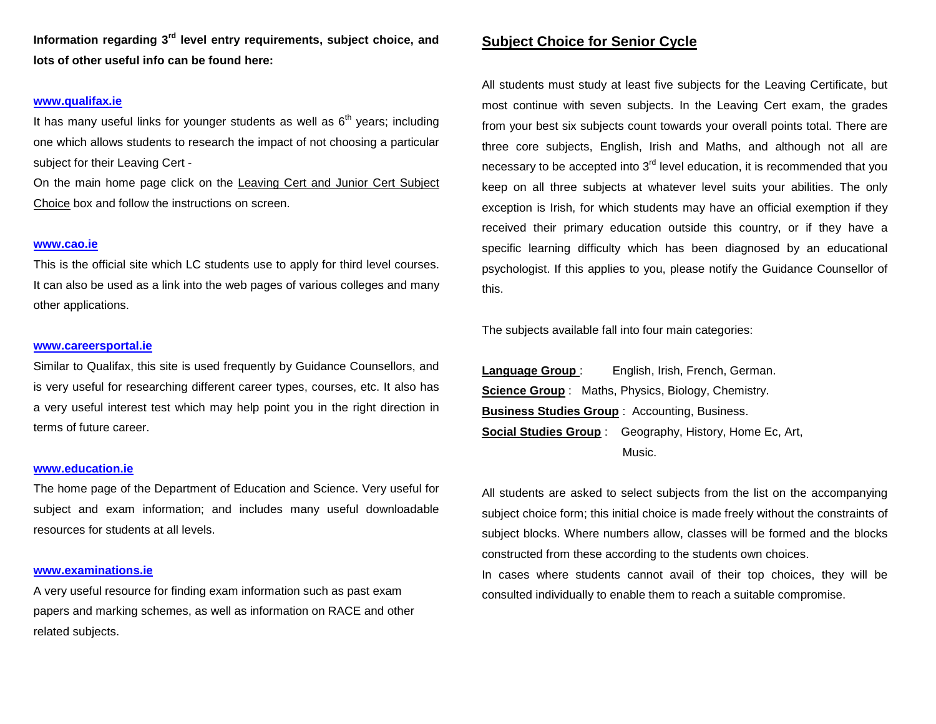**Information regarding 3rd level entry requirements, subject choice, and lots of other useful info can be found here:**

### **[www.qualifax.ie](http://www.qualifax.ie/)**

It has many useful links for younger students as well as  $6<sup>th</sup>$  years; including one which allows students to research the impact of not choosing a particular subject for their Leaving Cert -

On the main home page click on the Leaving Cert and Junior Cert Subject Choice box and follow the instructions on screen.

#### **[www.cao.ie](http://www.cao.ie/)**

This is the official site which LC students use to apply for third level courses. It can also be used as a link into the web pages of various colleges and many other applications.

#### **[www.careersportal.ie](http://www.careersportal.ie/)**

Similar to Qualifax, this site is used frequently by Guidance Counsellors, and is very useful for researching different career types, courses, etc. It also has a very useful interest test which may help point you in the right direction in terms of future career.

#### **[www.education.ie](http://www.education.ie/)**

The home page of the Department of Education and Science. Very useful for subject and exam information; and includes many useful downloadable resources for students at all levels.

#### **[www.examinations.ie](http://www.examinations.ie/)**

A very useful resource for finding exam information such as past exam papers and marking schemes, as well as information on RACE and other related subjects.

## **Subject Choice for Senior Cycle**

All students must study at least five subjects for the Leaving Certificate, but most continue with seven subjects. In the Leaving Cert exam, the grades from your best six subjects count towards your overall points total. There are three core subjects, English, Irish and Maths, and although not all are necessary to be accepted into  $3<sup>rd</sup>$  level education, it is recommended that you keep on all three subjects at whatever level suits your abilities. The only exception is Irish, for which students may have an official exemption if they received their primary education outside this country, or if they have a specific learning difficulty which has been diagnosed by an educational psychologist. If this applies to you, please notify the Guidance Counsellor of this.

The subjects available fall into four main categories:

Language Group: English, Irish, French, German. **Science Group** : Maths, Physics, Biology, Chemistry. **Business Studies Group** : Accounting, Business. **Social Studies Group** : Geography, History, Home Ec, Art, Music.

All students are asked to select subjects from the list on the accompanying subject choice form; this initial choice is made freely without the constraints of subject blocks. Where numbers allow, classes will be formed and the blocks constructed from these according to the students own choices.

In cases where students cannot avail of their top choices, they will be consulted individually to enable them to reach a suitable compromise.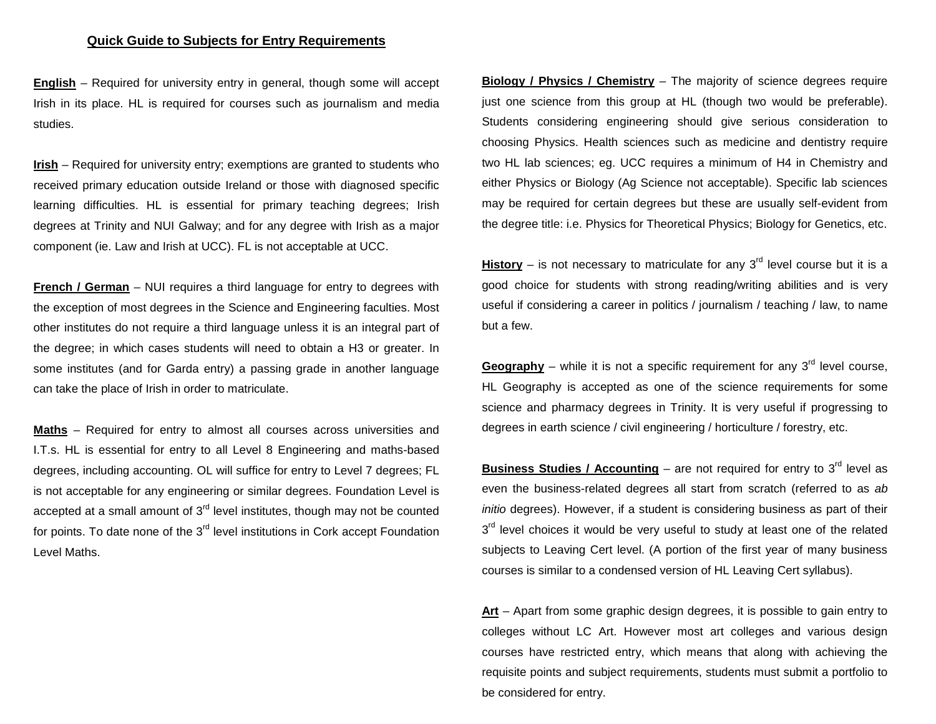**English** – Required for university entry in general, though some will accept Irish in its place. HL is required for courses such as journalism and media studies.

**Irish** – Required for university entry; exemptions are granted to students who received primary education outside Ireland or those with diagnosed specific learning difficulties. HL is essential for primary teaching degrees; Irish degrees at Trinity and NUI Galway; and for any degree with Irish as a major component (ie. Law and Irish at UCC). FL is not acceptable at UCC.

**French / German** – NUI requires a third language for entry to degrees with the exception of most degrees in the Science and Engineering faculties. Most other institutes do not require a third language unless it is an integral part of the degree; in which cases students will need to obtain a H3 or greater. In some institutes (and for Garda entry) a passing grade in another language can take the place of Irish in order to matriculate.

**Maths** – Required for entry to almost all courses across universities and I.T.s. HL is essential for entry to all Level 8 Engineering and maths-based degrees, including accounting. OL will suffice for entry to Level 7 degrees; FL is not acceptable for any engineering or similar degrees. Foundation Level is accepted at a small amount of  $3<sup>rd</sup>$  level institutes, though may not be counted for points. To date none of the  $3<sup>rd</sup>$  level institutions in Cork accept Foundation Level Maths.

**Biology / Physics / Chemistry** – The majority of science degrees require just one science from this group at HL (though two would be preferable). Students considering engineering should give serious consideration to choosing Physics. Health sciences such as medicine and dentistry require two HL lab sciences; eg. UCC requires a minimum of H4 in Chemistry and either Physics or Biology (Ag Science not acceptable). Specific lab sciences may be required for certain degrees but these are usually self-evident from the degree title: i.e. Physics for Theoretical Physics; Biology for Genetics, etc.

**History** – is not necessary to matriculate for any  $3<sup>rd</sup>$  level course but it is a good choice for students with strong reading/writing abilities and is very useful if considering a career in politics / journalism / teaching / law, to name but a few.

**Geography** – while it is not a specific requirement for any  $3<sup>rd</sup>$  level course, HL Geography is accepted as one of the science requirements for some science and pharmacy degrees in Trinity. It is very useful if progressing to degrees in earth science / civil engineering / horticulture / forestry, etc.

**Business Studies / Accounting** – are not required for entry to  $3<sup>rd</sup>$  level as even the business-related degrees all start from scratch (referred to as *ab initio* degrees). However, if a student is considering business as part of their 3<sup>rd</sup> level choices it would be very useful to study at least one of the related subjects to Leaving Cert level. (A portion of the first year of many business courses is similar to a condensed version of HL Leaving Cert syllabus).

**Art** – Apart from some graphic design degrees, it is possible to gain entry to colleges without LC Art. However most art colleges and various design courses have restricted entry, which means that along with achieving the requisite points and subject requirements, students must submit a portfolio to be considered for entry.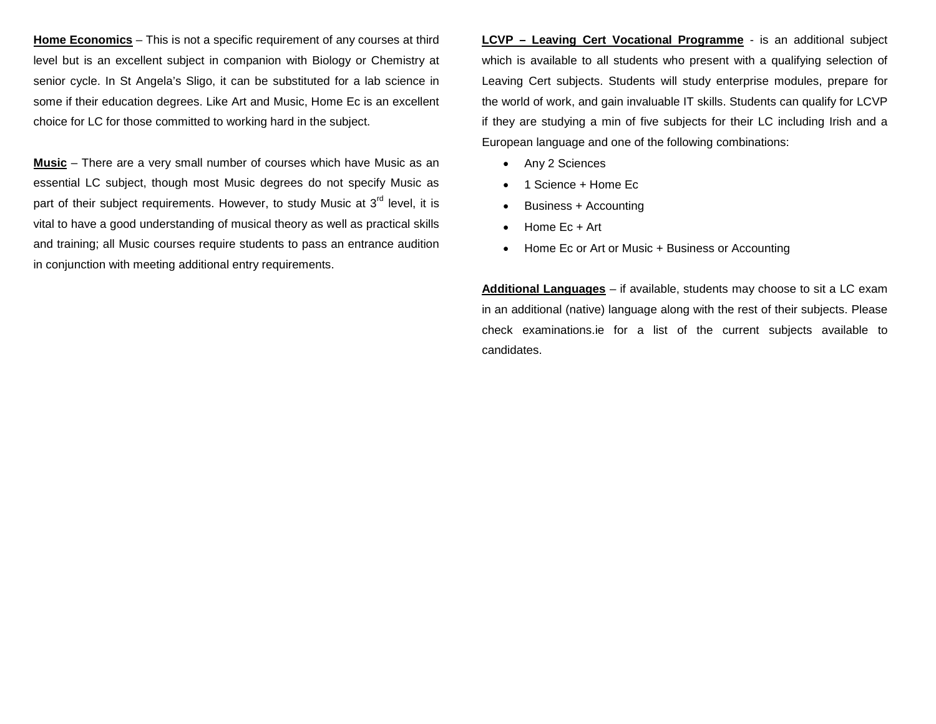**Home Economics** – This is not a specific requirement of any courses at third level but is an excellent subject in companion with Biology or Chemistry at senior cycle. In St Angela's Sligo, it can be substituted for a lab science in some if their education degrees. Like Art and Music, Home Ec is an excellent choice for LC for those committed to working hard in the subject.

**Music** – There are a very small number of courses which have Music as an essential LC subject, though most Music degrees do not specify Music as part of their subject requirements. However, to study Music at  $3<sup>rd</sup>$  level, it is vital to have a good understanding of musical theory as well as practical skills and training; all Music courses require students to pass an entrance audition in conjunction with meeting additional entry requirements.

**LCVP – Leaving Cert Vocational Programme** - is an additional subject which is available to all students who present with a qualifying selection of Leaving Cert subjects. Students will study enterprise modules, prepare for the world of work, and gain invaluable IT skills. Students can qualify for LCVP if they are studying a min of five subjects for their LC including Irish and a European language and one of the following combinations:

- Any 2 Sciences
- 1 Science + Home Ec
- Business + Accounting
- Home Ec + Art
- Home Ec or Art or Music + Business or Accounting

**Additional Languages** – if available, students may choose to sit a LC exam in an additional (native) language along with the rest of their subjects. Please check examinations.ie for a list of the current subjects available to candidates.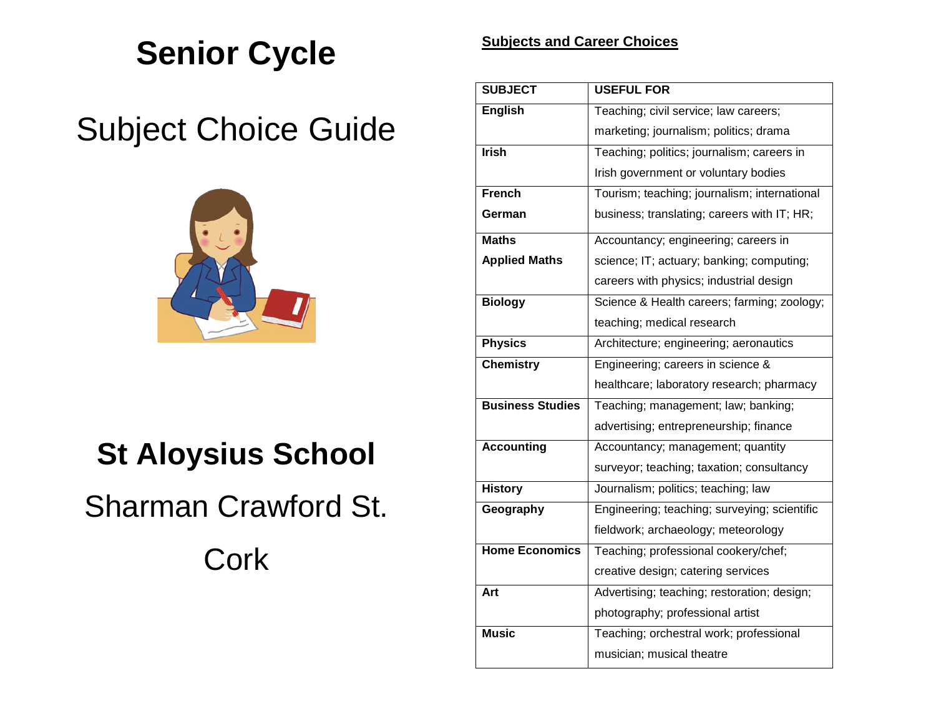# **Senior Cycle**

# Subject Choice Guide



# **St Aloysius School**

# Sharman Crawford St.

**Cork** 

# **Subjects and Career Choices**

| <b>SUBJECT</b>          | <b>USEFUL FOR</b>                            |  |  |
|-------------------------|----------------------------------------------|--|--|
| <b>English</b>          | Teaching; civil service; law careers;        |  |  |
|                         | marketing; journalism; politics; drama       |  |  |
| <b>Irish</b>            | Teaching; politics; journalism; careers in   |  |  |
|                         | Irish government or voluntary bodies         |  |  |
| French                  | Tourism; teaching; journalism; international |  |  |
| German                  | business; translating; careers with IT; HR;  |  |  |
| <b>Maths</b>            | Accountancy; engineering; careers in         |  |  |
| <b>Applied Maths</b>    | science; IT; actuary; banking; computing;    |  |  |
|                         | careers with physics; industrial design      |  |  |
| <b>Biology</b>          | Science & Health careers; farming; zoology;  |  |  |
|                         | teaching; medical research                   |  |  |
| <b>Physics</b>          | Architecture; engineering; aeronautics       |  |  |
| <b>Chemistry</b>        | Engineering; careers in science &            |  |  |
|                         | healthcare; laboratory research; pharmacy    |  |  |
| <b>Business Studies</b> | Teaching; management; law; banking;          |  |  |
|                         | advertising; entrepreneurship; finance       |  |  |
| <b>Accounting</b>       | Accountancy; management; quantity            |  |  |
|                         | surveyor; teaching; taxation; consultancy    |  |  |
| <b>History</b>          | Journalism; politics; teaching; law          |  |  |
| Geography               | Engineering; teaching; surveying; scientific |  |  |
|                         | fieldwork; archaeology; meteorology          |  |  |
| <b>Home Economics</b>   | Teaching; professional cookery/chef;         |  |  |
|                         | creative design; catering services           |  |  |
| Art                     | Advertising; teaching; restoration; design;  |  |  |
|                         | photography; professional artist             |  |  |
| <b>Music</b>            | Teaching; orchestral work; professional      |  |  |
|                         | musician; musical theatre                    |  |  |